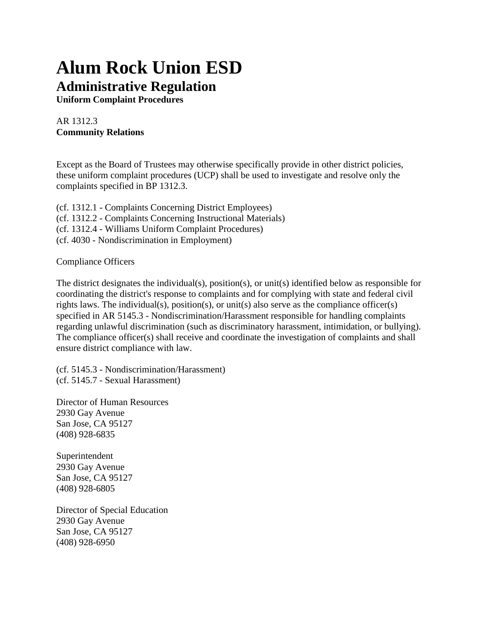# **Alum Rock Union ESD Administrative Regulation**

**Uniform Complaint Procedures**

# AR 1312.3 **Community Relations**

Except as the Board of Trustees may otherwise specifically provide in other district policies, these uniform complaint procedures (UCP) shall be used to investigate and resolve only the complaints specified in BP 1312.3.

- (cf. 1312.1 Complaints Concerning District Employees)
- (cf. 1312.2 Complaints Concerning Instructional Materials)
- (cf. 1312.4 Williams Uniform Complaint Procedures)
- (cf. 4030 Nondiscrimination in Employment)

Compliance Officers

The district designates the individual(s), position(s), or unit(s) identified below as responsible for coordinating the district's response to complaints and for complying with state and federal civil rights laws. The individual(s), position(s), or unit(s) also serve as the compliance officer(s) specified in AR 5145.3 - Nondiscrimination/Harassment responsible for handling complaints regarding unlawful discrimination (such as discriminatory harassment, intimidation, or bullying). The compliance officer(s) shall receive and coordinate the investigation of complaints and shall ensure district compliance with law.

(cf. 5145.3 - Nondiscrimination/Harassment) (cf. 5145.7 - Sexual Harassment)

Director of Human Resources 2930 Gay Avenue San Jose, CA 95127 (408) 928-6835

Superintendent 2930 Gay Avenue San Jose, CA 95127 (408) 928-6805

Director of Special Education 2930 Gay Avenue San Jose, CA 95127 (408) 928-6950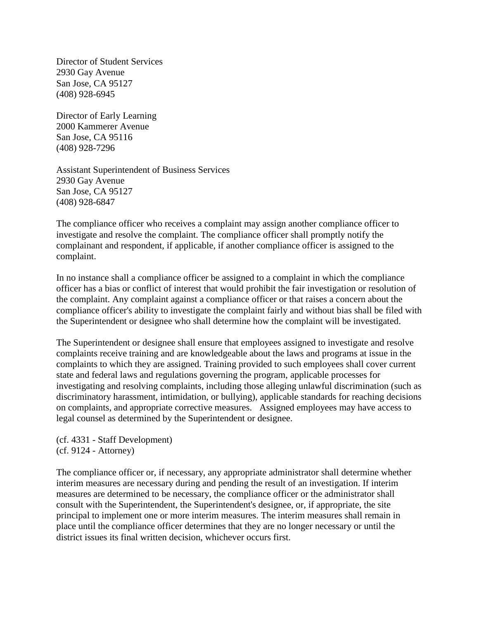Director of Student Services 2930 Gay Avenue San Jose, CA 95127 (408) 928-6945

Director of Early Learning 2000 Kammerer Avenue San Jose, CA 95116 (408) 928-7296

Assistant Superintendent of Business Services 2930 Gay Avenue San Jose, CA 95127 (408) 928-6847

The compliance officer who receives a complaint may assign another compliance officer to investigate and resolve the complaint. The compliance officer shall promptly notify the complainant and respondent, if applicable, if another compliance officer is assigned to the complaint.

In no instance shall a compliance officer be assigned to a complaint in which the compliance officer has a bias or conflict of interest that would prohibit the fair investigation or resolution of the complaint. Any complaint against a compliance officer or that raises a concern about the compliance officer's ability to investigate the complaint fairly and without bias shall be filed with the Superintendent or designee who shall determine how the complaint will be investigated.

The Superintendent or designee shall ensure that employees assigned to investigate and resolve complaints receive training and are knowledgeable about the laws and programs at issue in the complaints to which they are assigned. Training provided to such employees shall cover current state and federal laws and regulations governing the program, applicable processes for investigating and resolving complaints, including those alleging unlawful discrimination (such as discriminatory harassment, intimidation, or bullying), applicable standards for reaching decisions on complaints, and appropriate corrective measures. Assigned employees may have access to legal counsel as determined by the Superintendent or designee.

(cf. 4331 - Staff Development) (cf. 9124 - Attorney)

The compliance officer or, if necessary, any appropriate administrator shall determine whether interim measures are necessary during and pending the result of an investigation. If interim measures are determined to be necessary, the compliance officer or the administrator shall consult with the Superintendent, the Superintendent's designee, or, if appropriate, the site principal to implement one or more interim measures. The interim measures shall remain in place until the compliance officer determines that they are no longer necessary or until the district issues its final written decision, whichever occurs first.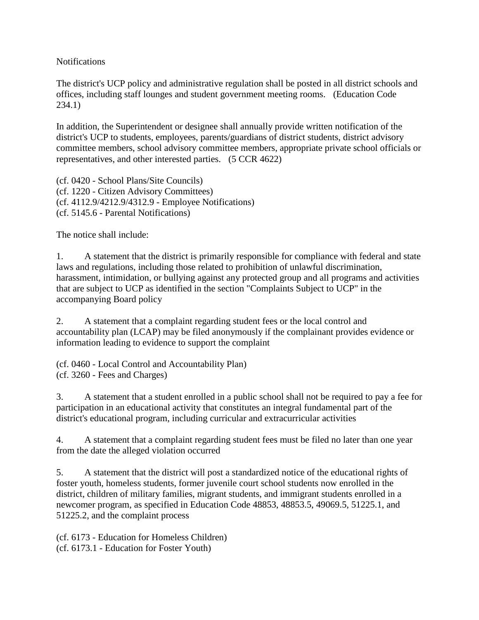#### Notifications

The district's UCP policy and administrative regulation shall be posted in all district schools and offices, including staff lounges and student government meeting rooms. (Education Code 234.1)

In addition, the Superintendent or designee shall annually provide written notification of the district's UCP to students, employees, parents/guardians of district students, district advisory committee members, school advisory committee members, appropriate private school officials or representatives, and other interested parties. (5 CCR 4622)

(cf. 0420 - School Plans/Site Councils) (cf. 1220 - Citizen Advisory Committees) (cf. 4112.9/4212.9/4312.9 - Employee Notifications) (cf. 5145.6 - Parental Notifications)

The notice shall include:

1. A statement that the district is primarily responsible for compliance with federal and state laws and regulations, including those related to prohibition of unlawful discrimination, harassment, intimidation, or bullying against any protected group and all programs and activities that are subject to UCP as identified in the section "Complaints Subject to UCP" in the accompanying Board policy

2. A statement that a complaint regarding student fees or the local control and accountability plan (LCAP) may be filed anonymously if the complainant provides evidence or information leading to evidence to support the complaint

(cf. 0460 - Local Control and Accountability Plan) (cf. 3260 - Fees and Charges)

3. A statement that a student enrolled in a public school shall not be required to pay a fee for participation in an educational activity that constitutes an integral fundamental part of the district's educational program, including curricular and extracurricular activities

4. A statement that a complaint regarding student fees must be filed no later than one year from the date the alleged violation occurred

5. A statement that the district will post a standardized notice of the educational rights of foster youth, homeless students, former juvenile court school students now enrolled in the district, children of military families, migrant students, and immigrant students enrolled in a newcomer program, as specified in Education Code 48853, 48853.5, 49069.5, 51225.1, and 51225.2, and the complaint process

(cf. 6173 - Education for Homeless Children) (cf. 6173.1 - Education for Foster Youth)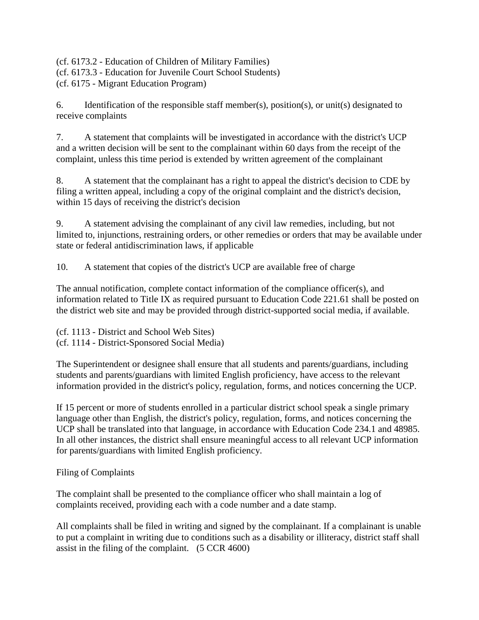(cf. 6173.2 - Education of Children of Military Families) (cf. 6173.3 - Education for Juvenile Court School Students) (cf. 6175 - Migrant Education Program)

6. Identification of the responsible staff member(s), position(s), or unit(s) designated to receive complaints

7. A statement that complaints will be investigated in accordance with the district's UCP and a written decision will be sent to the complainant within 60 days from the receipt of the complaint, unless this time period is extended by written agreement of the complainant

8. A statement that the complainant has a right to appeal the district's decision to CDE by filing a written appeal, including a copy of the original complaint and the district's decision, within 15 days of receiving the district's decision

9. A statement advising the complainant of any civil law remedies, including, but not limited to, injunctions, restraining orders, or other remedies or orders that may be available under state or federal antidiscrimination laws, if applicable

10. A statement that copies of the district's UCP are available free of charge

The annual notification, complete contact information of the compliance officer(s), and information related to Title IX as required pursuant to Education Code 221.61 shall be posted on the district web site and may be provided through district-supported social media, if available.

(cf. 1113 - District and School Web Sites) (cf. 1114 - District-Sponsored Social Media)

The Superintendent or designee shall ensure that all students and parents/guardians, including students and parents/guardians with limited English proficiency, have access to the relevant information provided in the district's policy, regulation, forms, and notices concerning the UCP.

If 15 percent or more of students enrolled in a particular district school speak a single primary language other than English, the district's policy, regulation, forms, and notices concerning the UCP shall be translated into that language, in accordance with Education Code 234.1 and 48985. In all other instances, the district shall ensure meaningful access to all relevant UCP information for parents/guardians with limited English proficiency.

Filing of Complaints

The complaint shall be presented to the compliance officer who shall maintain a log of complaints received, providing each with a code number and a date stamp.

All complaints shall be filed in writing and signed by the complainant. If a complainant is unable to put a complaint in writing due to conditions such as a disability or illiteracy, district staff shall assist in the filing of the complaint. (5 CCR 4600)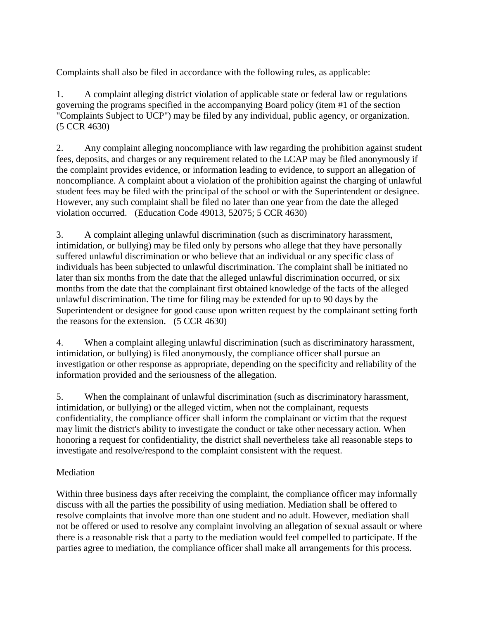Complaints shall also be filed in accordance with the following rules, as applicable:

1. A complaint alleging district violation of applicable state or federal law or regulations governing the programs specified in the accompanying Board policy (item #1 of the section "Complaints Subject to UCP") may be filed by any individual, public agency, or organization. (5 CCR 4630)

2. Any complaint alleging noncompliance with law regarding the prohibition against student fees, deposits, and charges or any requirement related to the LCAP may be filed anonymously if the complaint provides evidence, or information leading to evidence, to support an allegation of noncompliance. A complaint about a violation of the prohibition against the charging of unlawful student fees may be filed with the principal of the school or with the Superintendent or designee. However, any such complaint shall be filed no later than one year from the date the alleged violation occurred. (Education Code 49013, 52075; 5 CCR 4630)

3. A complaint alleging unlawful discrimination (such as discriminatory harassment, intimidation, or bullying) may be filed only by persons who allege that they have personally suffered unlawful discrimination or who believe that an individual or any specific class of individuals has been subjected to unlawful discrimination. The complaint shall be initiated no later than six months from the date that the alleged unlawful discrimination occurred, or six months from the date that the complainant first obtained knowledge of the facts of the alleged unlawful discrimination. The time for filing may be extended for up to 90 days by the Superintendent or designee for good cause upon written request by the complainant setting forth the reasons for the extension. (5 CCR 4630)

4. When a complaint alleging unlawful discrimination (such as discriminatory harassment, intimidation, or bullying) is filed anonymously, the compliance officer shall pursue an investigation or other response as appropriate, depending on the specificity and reliability of the information provided and the seriousness of the allegation.

5. When the complainant of unlawful discrimination (such as discriminatory harassment, intimidation, or bullying) or the alleged victim, when not the complainant, requests confidentiality, the compliance officer shall inform the complainant or victim that the request may limit the district's ability to investigate the conduct or take other necessary action. When honoring a request for confidentiality, the district shall nevertheless take all reasonable steps to investigate and resolve/respond to the complaint consistent with the request.

## Mediation

Within three business days after receiving the complaint, the compliance officer may informally discuss with all the parties the possibility of using mediation. Mediation shall be offered to resolve complaints that involve more than one student and no adult. However, mediation shall not be offered or used to resolve any complaint involving an allegation of sexual assault or where there is a reasonable risk that a party to the mediation would feel compelled to participate. If the parties agree to mediation, the compliance officer shall make all arrangements for this process.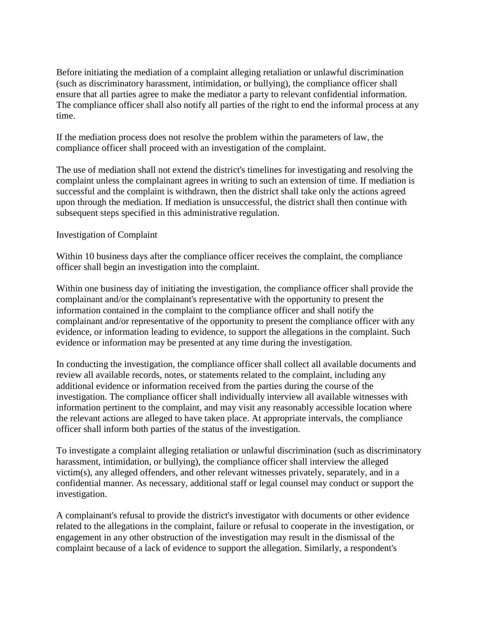Before initiating the mediation of a complaint alleging retaliation or unlawful discrimination (such as discriminatory harassment, intimidation, or bullying), the compliance officer shall ensure that all parties agree to make the mediator a party to relevant confidential information. The compliance officer shall also notify all parties of the right to end the informal process at any time.

If the mediation process does not resolve the problem within the parameters of law, the compliance officer shall proceed with an investigation of the complaint.

The use of mediation shall not extend the district's timelines for investigating and resolving the complaint unless the complainant agrees in writing to such an extension of time. If mediation is successful and the complaint is withdrawn, then the district shall take only the actions agreed upon through the mediation. If mediation is unsuccessful, the district shall then continue with subsequent steps specified in this administrative regulation.

#### Investigation of Complaint

Within 10 business days after the compliance officer receives the complaint, the compliance officer shall begin an investigation into the complaint.

Within one business day of initiating the investigation, the compliance officer shall provide the complainant and/or the complainant's representative with the opportunity to present the information contained in the complaint to the compliance officer and shall notify the complainant and/or representative of the opportunity to present the compliance officer with any evidence, or information leading to evidence, to support the allegations in the complaint. Such evidence or information may be presented at any time during the investigation.

In conducting the investigation, the compliance officer shall collect all available documents and review all available records, notes, or statements related to the complaint, including any additional evidence or information received from the parties during the course of the investigation. The compliance officer shall individually interview all available witnesses with information pertinent to the complaint, and may visit any reasonably accessible location where the relevant actions are alleged to have taken place. At appropriate intervals, the compliance officer shall inform both parties of the status of the investigation.

To investigate a complaint alleging retaliation or unlawful discrimination (such as discriminatory harassment, intimidation, or bullying), the compliance officer shall interview the alleged victim(s), any alleged offenders, and other relevant witnesses privately, separately, and in a confidential manner. As necessary, additional staff or legal counsel may conduct or support the investigation.

A complainant's refusal to provide the district's investigator with documents or other evidence related to the allegations in the complaint, failure or refusal to cooperate in the investigation, or engagement in any other obstruction of the investigation may result in the dismissal of the complaint because of a lack of evidence to support the allegation. Similarly, a respondent's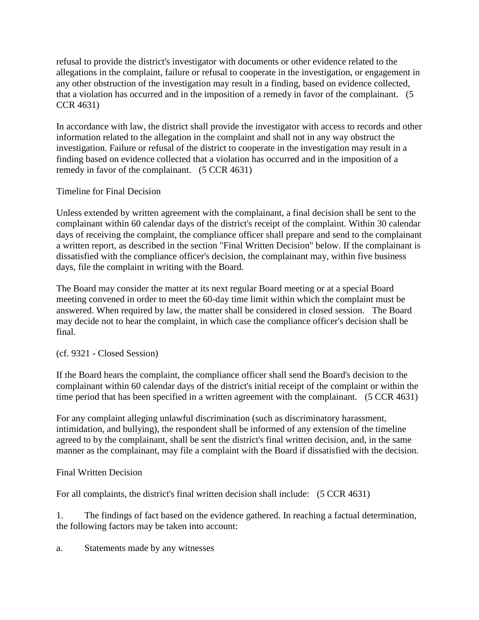refusal to provide the district's investigator with documents or other evidence related to the allegations in the complaint, failure or refusal to cooperate in the investigation, or engagement in any other obstruction of the investigation may result in a finding, based on evidence collected, that a violation has occurred and in the imposition of a remedy in favor of the complainant. (5 CCR 4631)

In accordance with law, the district shall provide the investigator with access to records and other information related to the allegation in the complaint and shall not in any way obstruct the investigation. Failure or refusal of the district to cooperate in the investigation may result in a finding based on evidence collected that a violation has occurred and in the imposition of a remedy in favor of the complainant. (5 CCR 4631)

## Timeline for Final Decision

Unless extended by written agreement with the complainant, a final decision shall be sent to the complainant within 60 calendar days of the district's receipt of the complaint. Within 30 calendar days of receiving the complaint, the compliance officer shall prepare and send to the complainant a written report, as described in the section "Final Written Decision" below. If the complainant is dissatisfied with the compliance officer's decision, the complainant may, within five business days, file the complaint in writing with the Board.

The Board may consider the matter at its next regular Board meeting or at a special Board meeting convened in order to meet the 60-day time limit within which the complaint must be answered. When required by law, the matter shall be considered in closed session. The Board may decide not to hear the complaint, in which case the compliance officer's decision shall be final.

(cf. 9321 - Closed Session)

If the Board hears the complaint, the compliance officer shall send the Board's decision to the complainant within 60 calendar days of the district's initial receipt of the complaint or within the time period that has been specified in a written agreement with the complainant. (5 CCR 4631)

For any complaint alleging unlawful discrimination (such as discriminatory harassment, intimidation, and bullying), the respondent shall be informed of any extension of the timeline agreed to by the complainant, shall be sent the district's final written decision, and, in the same manner as the complainant, may file a complaint with the Board if dissatisfied with the decision.

#### Final Written Decision

For all complaints, the district's final written decision shall include: (5 CCR 4631)

1. The findings of fact based on the evidence gathered. In reaching a factual determination, the following factors may be taken into account:

a. Statements made by any witnesses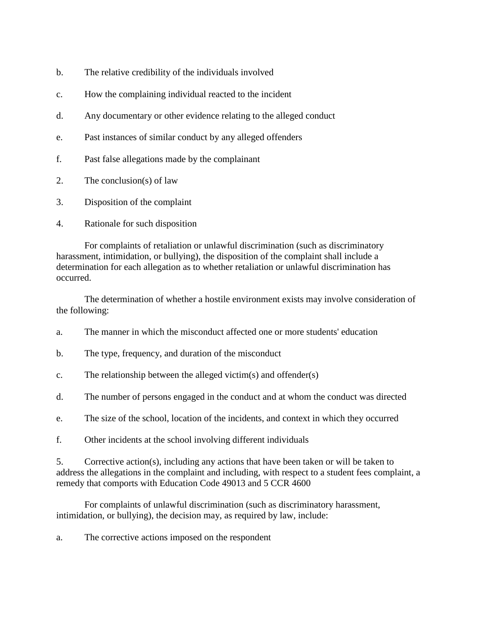- b. The relative credibility of the individuals involved
- c. How the complaining individual reacted to the incident
- d. Any documentary or other evidence relating to the alleged conduct
- e. Past instances of similar conduct by any alleged offenders
- f. Past false allegations made by the complainant
- 2. The conclusion(s) of law
- 3. Disposition of the complaint
- 4. Rationale for such disposition

For complaints of retaliation or unlawful discrimination (such as discriminatory harassment, intimidation, or bullying), the disposition of the complaint shall include a determination for each allegation as to whether retaliation or unlawful discrimination has occurred.

The determination of whether a hostile environment exists may involve consideration of the following:

- a. The manner in which the misconduct affected one or more students' education
- b. The type, frequency, and duration of the misconduct
- c. The relationship between the alleged victim(s) and offender(s)
- d. The number of persons engaged in the conduct and at whom the conduct was directed
- e. The size of the school, location of the incidents, and context in which they occurred
- f. Other incidents at the school involving different individuals

5. Corrective action(s), including any actions that have been taken or will be taken to address the allegations in the complaint and including, with respect to a student fees complaint, a remedy that comports with Education Code 49013 and 5 CCR 4600

For complaints of unlawful discrimination (such as discriminatory harassment, intimidation, or bullying), the decision may, as required by law, include:

a. The corrective actions imposed on the respondent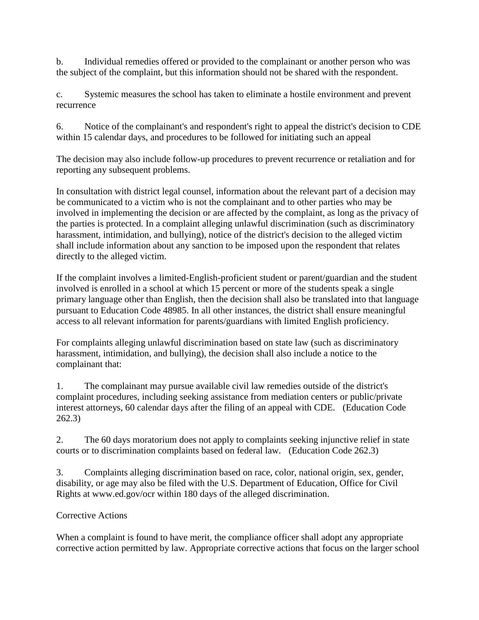b. Individual remedies offered or provided to the complainant or another person who was the subject of the complaint, but this information should not be shared with the respondent.

c. Systemic measures the school has taken to eliminate a hostile environment and prevent recurrence

6. Notice of the complainant's and respondent's right to appeal the district's decision to CDE within 15 calendar days, and procedures to be followed for initiating such an appeal

The decision may also include follow-up procedures to prevent recurrence or retaliation and for reporting any subsequent problems.

In consultation with district legal counsel, information about the relevant part of a decision may be communicated to a victim who is not the complainant and to other parties who may be involved in implementing the decision or are affected by the complaint, as long as the privacy of the parties is protected. In a complaint alleging unlawful discrimination (such as discriminatory harassment, intimidation, and bullying), notice of the district's decision to the alleged victim shall include information about any sanction to be imposed upon the respondent that relates directly to the alleged victim.

If the complaint involves a limited-English-proficient student or parent/guardian and the student involved is enrolled in a school at which 15 percent or more of the students speak a single primary language other than English, then the decision shall also be translated into that language pursuant to Education Code 48985. In all other instances, the district shall ensure meaningful access to all relevant information for parents/guardians with limited English proficiency.

For complaints alleging unlawful discrimination based on state law (such as discriminatory harassment, intimidation, and bullying), the decision shall also include a notice to the complainant that:

1. The complainant may pursue available civil law remedies outside of the district's complaint procedures, including seeking assistance from mediation centers or public/private interest attorneys, 60 calendar days after the filing of an appeal with CDE. (Education Code 262.3)

2. The 60 days moratorium does not apply to complaints seeking injunctive relief in state courts or to discrimination complaints based on federal law. (Education Code 262.3)

3. Complaints alleging discrimination based on race, color, national origin, sex, gender, disability, or age may also be filed with the U.S. Department of Education, Office for Civil Rights at www.ed.gov/ocr within 180 days of the alleged discrimination.

## Corrective Actions

When a complaint is found to have merit, the compliance officer shall adopt any appropriate corrective action permitted by law. Appropriate corrective actions that focus on the larger school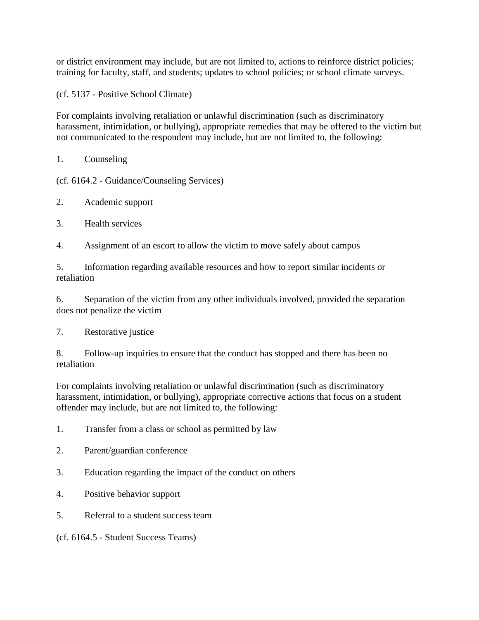or district environment may include, but are not limited to, actions to reinforce district policies; training for faculty, staff, and students; updates to school policies; or school climate surveys.

(cf. 5137 - Positive School Climate)

For complaints involving retaliation or unlawful discrimination (such as discriminatory harassment, intimidation, or bullying), appropriate remedies that may be offered to the victim but not communicated to the respondent may include, but are not limited to, the following:

1. Counseling

(cf. 6164.2 - Guidance/Counseling Services)

2. Academic support

3. Health services

4. Assignment of an escort to allow the victim to move safely about campus

5. Information regarding available resources and how to report similar incidents or retaliation

6. Separation of the victim from any other individuals involved, provided the separation does not penalize the victim

7. Restorative justice

8. Follow-up inquiries to ensure that the conduct has stopped and there has been no retaliation

For complaints involving retaliation or unlawful discrimination (such as discriminatory harassment, intimidation, or bullying), appropriate corrective actions that focus on a student offender may include, but are not limited to, the following:

1. Transfer from a class or school as permitted by law

2. Parent/guardian conference

3. Education regarding the impact of the conduct on others

4. Positive behavior support

5. Referral to a student success team

(cf. 6164.5 - Student Success Teams)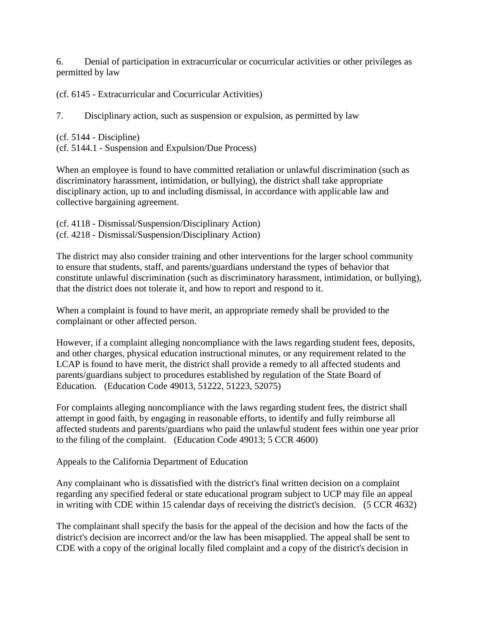6. Denial of participation in extracurricular or cocurricular activities or other privileges as permitted by law

(cf. 6145 - Extracurricular and Cocurricular Activities)

7. Disciplinary action, such as suspension or expulsion, as permitted by law

(cf. 5144 - Discipline)

(cf. 5144.1 - Suspension and Expulsion/Due Process)

When an employee is found to have committed retaliation or unlawful discrimination (such as discriminatory harassment, intimidation, or bullying), the district shall take appropriate disciplinary action, up to and including dismissal, in accordance with applicable law and collective bargaining agreement.

(cf. 4118 - Dismissal/Suspension/Disciplinary Action) (cf. 4218 - Dismissal/Suspension/Disciplinary Action)

The district may also consider training and other interventions for the larger school community to ensure that students, staff, and parents/guardians understand the types of behavior that constitute unlawful discrimination (such as discriminatory harassment, intimidation, or bullying), that the district does not tolerate it, and how to report and respond to it.

When a complaint is found to have merit, an appropriate remedy shall be provided to the complainant or other affected person.

However, if a complaint alleging noncompliance with the laws regarding student fees, deposits, and other charges, physical education instructional minutes, or any requirement related to the LCAP is found to have merit, the district shall provide a remedy to all affected students and parents/guardians subject to procedures established by regulation of the State Board of Education. (Education Code 49013, 51222, 51223, 52075)

For complaints alleging noncompliance with the laws regarding student fees, the district shall attempt in good faith, by engaging in reasonable efforts, to identify and fully reimburse all affected students and parents/guardians who paid the unlawful student fees within one year prior to the filing of the complaint. (Education Code 49013; 5 CCR 4600)

Appeals to the California Department of Education

Any complainant who is dissatisfied with the district's final written decision on a complaint regarding any specified federal or state educational program subject to UCP may file an appeal in writing with CDE within 15 calendar days of receiving the district's decision. (5 CCR 4632)

The complainant shall specify the basis for the appeal of the decision and how the facts of the district's decision are incorrect and/or the law has been misapplied. The appeal shall be sent to CDE with a copy of the original locally filed complaint and a copy of the district's decision in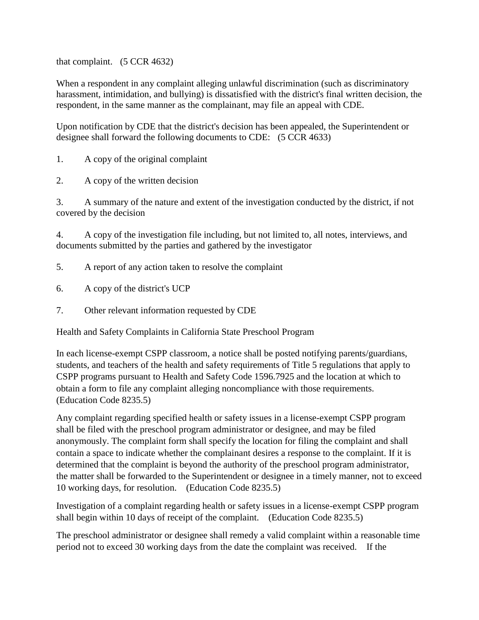that complaint. (5 CCR 4632)

When a respondent in any complaint alleging unlawful discrimination (such as discriminatory harassment, intimidation, and bullying) is dissatisfied with the district's final written decision, the respondent, in the same manner as the complainant, may file an appeal with CDE.

Upon notification by CDE that the district's decision has been appealed, the Superintendent or designee shall forward the following documents to CDE: (5 CCR 4633)

1. A copy of the original complaint

2. A copy of the written decision

3. A summary of the nature and extent of the investigation conducted by the district, if not covered by the decision

4. A copy of the investigation file including, but not limited to, all notes, interviews, and documents submitted by the parties and gathered by the investigator

- 5. A report of any action taken to resolve the complaint
- 6. A copy of the district's UCP
- 7. Other relevant information requested by CDE

Health and Safety Complaints in California State Preschool Program

In each license-exempt CSPP classroom, a notice shall be posted notifying parents/guardians, students, and teachers of the health and safety requirements of Title 5 regulations that apply to CSPP programs pursuant to Health and Safety Code 1596.7925 and the location at which to obtain a form to file any complaint alleging noncompliance with those requirements. (Education Code 8235.5)

Any complaint regarding specified health or safety issues in a license-exempt CSPP program shall be filed with the preschool program administrator or designee, and may be filed anonymously. The complaint form shall specify the location for filing the complaint and shall contain a space to indicate whether the complainant desires a response to the complaint. If it is determined that the complaint is beyond the authority of the preschool program administrator, the matter shall be forwarded to the Superintendent or designee in a timely manner, not to exceed 10 working days, for resolution. (Education Code 8235.5)

Investigation of a complaint regarding health or safety issues in a license-exempt CSPP program shall begin within 10 days of receipt of the complaint. (Education Code 8235.5)

The preschool administrator or designee shall remedy a valid complaint within a reasonable time period not to exceed 30 working days from the date the complaint was received. If the